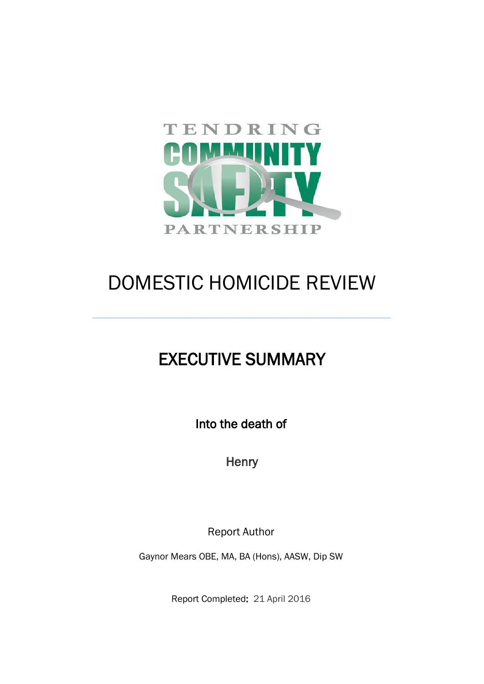

# DOMESTIC HOMICIDE REVIEW

**\_\_\_\_\_\_\_\_\_\_\_\_\_\_\_\_\_\_\_\_\_\_\_\_\_\_\_\_\_\_\_\_\_\_\_\_\_\_\_\_\_\_\_\_\_\_\_\_\_\_\_\_\_\_\_**

# EXECUTIVE SUMMARY

Into the death of

**Henry** 

Report Author

Gaynor Mears OBE, MA, BA (Hons), AASW, Dip SW

Report Completed: 21 April 2016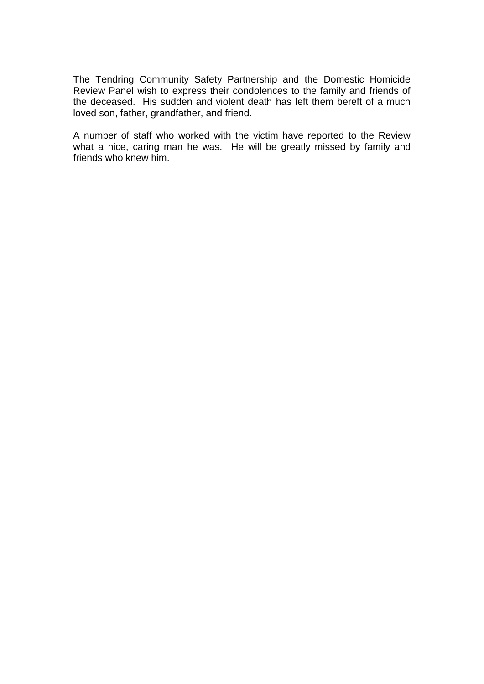The Tendring Community Safety Partnership and the Domestic Homicide Review Panel wish to express their condolences to the family and friends of the deceased. His sudden and violent death has left them bereft of a much loved son, father, grandfather, and friend.

A number of staff who worked with the victim have reported to the Review what a nice, caring man he was. He will be greatly missed by family and friends who knew him.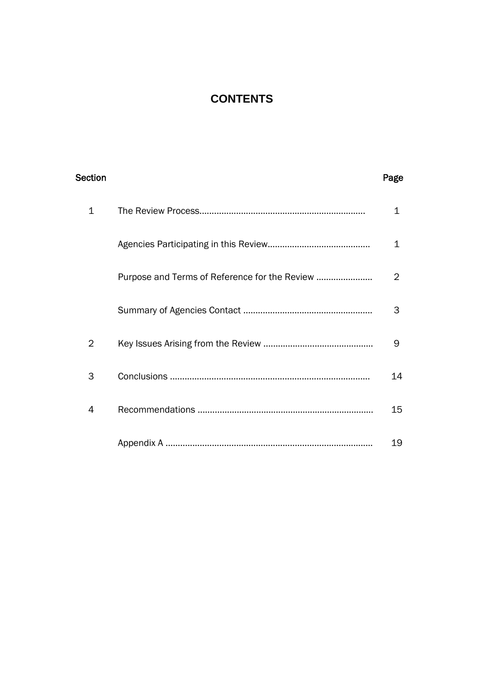## **CONTENTS**

| <b>Section</b> |                                               | Page |
|----------------|-----------------------------------------------|------|
| 1              |                                               | 1    |
|                |                                               | 1    |
|                | Purpose and Terms of Reference for the Review | 2    |
|                |                                               | 3    |
| 2              |                                               | 9    |
| 3              |                                               | 14   |
| 4              |                                               | 15   |
|                |                                               | 19   |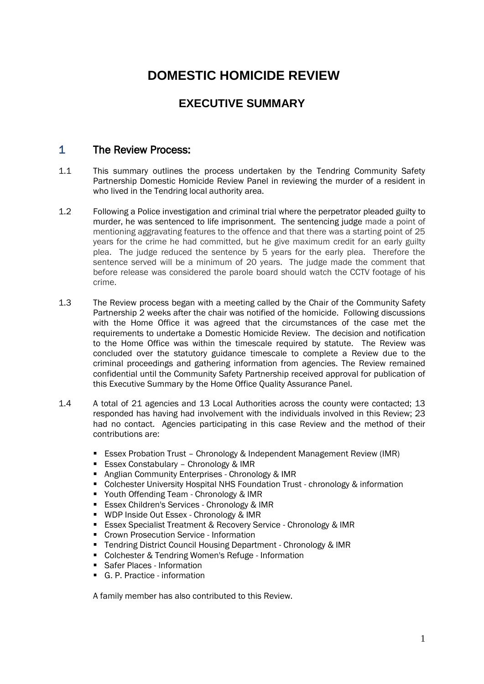## **DOMESTIC HOMICIDE REVIEW**

## **EXECUTIVE SUMMARY**

### 1 The Review Process:

- 1.1 This summary outlines the process undertaken by the Tendring Community Safety Partnership Domestic Homicide Review Panel in reviewing the murder of a resident in who lived in the Tendring local authority area.
- 1.2 Following a Police investigation and criminal trial where the perpetrator pleaded guilty to murder, he was sentenced to life imprisonment. The sentencing judge made a point of mentioning aggravating features to the offence and that there was a starting point of 25 years for the crime he had committed, but he give maximum credit for an early guilty plea. The judge reduced the sentence by 5 years for the early plea. Therefore the sentence served will be a minimum of 20 years. The judge made the comment that before release was considered the parole board should watch the CCTV footage of his crime.
- 1.3 The Review process began with a meeting called by the Chair of the Community Safety Partnership 2 weeks after the chair was notified of the homicide. Following discussions with the Home Office it was agreed that the circumstances of the case met the requirements to undertake a Domestic Homicide Review. The decision and notification to the Home Office was within the timescale required by statute. The Review was concluded over the statutory guidance timescale to complete a Review due to the criminal proceedings and gathering information from agencies. The Review remained confidential until the Community Safety Partnership received approval for publication of this Executive Summary by the Home Office Quality Assurance Panel.
- 1.4 A total of 21 agencies and 13 Local Authorities across the county were contacted; 13 responded has having had involvement with the individuals involved in this Review; 23 had no contact. Agencies participating in this case Review and the method of their contributions are:
	- **E** Essex Probation Trust Chronology & Independent Management Review (IMR)
	- **Essex Constabulary Chronology & IMR**
	- **Anglian Community Enterprises Chronology & IMR**
	- Colchester University Hospital NHS Foundation Trust chronology & information
	- Youth Offending Team Chronology & IMR
	- **Essex Children's Services Chronology & IMR**
	- WDP Inside Out Essex Chronology & IMR
	- **ESSEX Specialist Treatment & Recovery Service Chronology & IMR**
	- **Crown Prosecution Service Information**
	- Tendring District Council Housing Department Chronology & IMR
	- Colchester & Tendring Women's Refuge Information
	- **Safer Places Information**
	- G. P. Practice information

A family member has also contributed to this Review.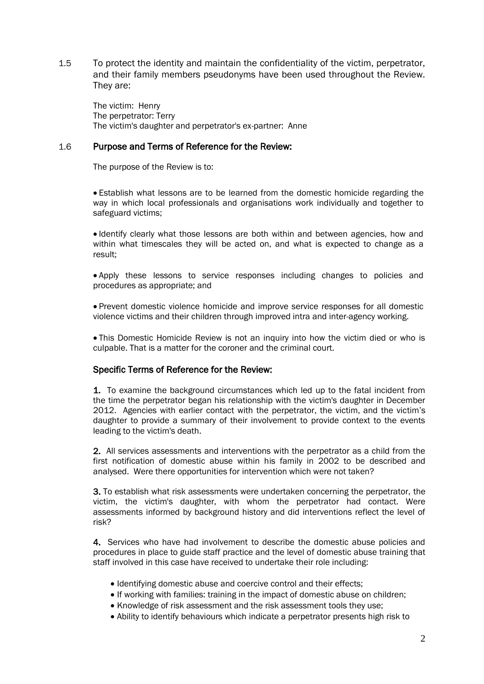1.5 To protect the identity and maintain the confidentiality of the victim, perpetrator, and their family members pseudonyms have been used throughout the Review. They are:

The victim: Henry The perpetrator: Terry The victim's daughter and perpetrator's ex-partner: Anne

#### 1.6 Purpose and Terms of Reference for the Review:

The purpose of the Review is to:

 Establish what lessons are to be learned from the domestic homicide regarding the way in which local professionals and organisations work individually and together to safeguard victims;

 Identify clearly what those lessons are both within and between agencies, how and within what timescales they will be acted on, and what is expected to change as a result;

 Apply these lessons to service responses including changes to policies and procedures as appropriate; and

 Prevent domestic violence homicide and improve service responses for all domestic violence victims and their children through improved intra and inter-agency working.

 This Domestic Homicide Review is not an inquiry into how the victim died or who is culpable. That is a matter for the coroner and the criminal court.

#### Specific Terms of Reference for the Review:

1. To examine the background circumstances which led up to the fatal incident from the time the perpetrator began his relationship with the victim's daughter in December 2012. Agencies with earlier contact with the perpetrator, the victim, and the victim's daughter to provide a summary of their involvement to provide context to the events leading to the victim's death.

2. All services assessments and interventions with the perpetrator as a child from the first notification of domestic abuse within his family in 2002 to be described and analysed. Were there opportunities for intervention which were not taken?

3. To establish what risk assessments were undertaken concerning the perpetrator, the victim, the victim's daughter, with whom the perpetrator had contact. Were assessments informed by background history and did interventions reflect the level of risk?

4. Services who have had involvement to describe the domestic abuse policies and procedures in place to guide staff practice and the level of domestic abuse training that staff involved in this case have received to undertake their role including:

- Identifying domestic abuse and coercive control and their effects:
- If working with families: training in the impact of domestic abuse on children;
- Knowledge of risk assessment and the risk assessment tools they use;
- Ability to identify behaviours which indicate a perpetrator presents high risk to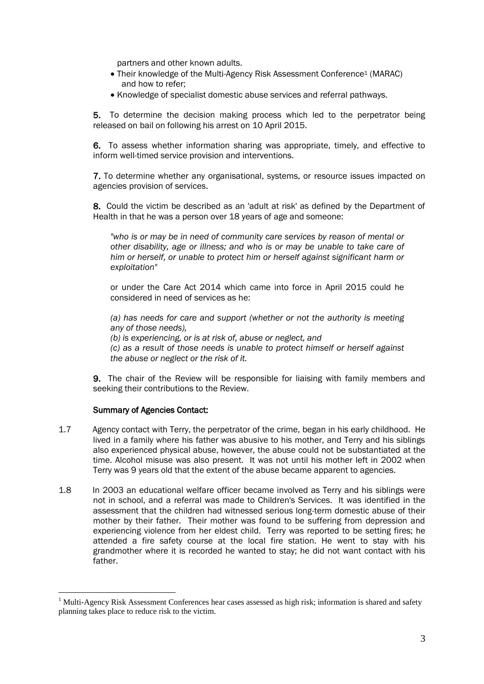partners and other known adults.

- Their knowledge of the Multi-Agency Risk Assessment Conference<sup>1</sup> (MARAC) and how to refer;
- Knowledge of specialist domestic abuse services and referral pathways.

 5. To determine the decision making process which led to the perpetrator being released on bail on following his arrest on 10 April 2015.

6. To assess whether information sharing was appropriate, timely, and effective to inform well-timed service provision and interventions.

7. To determine whether any organisational, systems, or resource issues impacted on agencies provision of services.

8. Could the victim be described as an 'adult at risk' as defined by the Department of Health in that he was a person over 18 years of age and someone:

*"who is or may be in need of community care services by reason of mental or other disability, age or illness; and who is or may be unable to take care of him or herself, or unable to protect him or herself against significant harm or exploitation"*

or under the Care Act 2014 which came into force in April 2015 could he considered in need of services as he:

*(a) has needs for care and support (whether or not the authority is meeting any of those needs),* 

*(b) is experiencing, or is at risk of, abuse or neglect, and* 

*(c) as a result of those needs is unable to protect himself or herself against the abuse or neglect or the risk of it.* 

9. The chair of the Review will be responsible for liaising with family members and seeking their contributions to the Review.

#### Summary of Agencies Contact:

<u>.</u>

- 1.7 Agency contact with Terry, the perpetrator of the crime, began in his early childhood. He lived in a family where his father was abusive to his mother, and Terry and his siblings also experienced physical abuse, however, the abuse could not be substantiated at the time. Alcohol misuse was also present. It was not until his mother left in 2002 when Terry was 9 years old that the extent of the abuse became apparent to agencies.
- 1.8 In 2003 an educational welfare officer became involved as Terry and his siblings were not in school, and a referral was made to Children's Services. It was identified in the assessment that the children had witnessed serious long-term domestic abuse of their mother by their father. Their mother was found to be suffering from depression and experiencing violence from her eldest child. Terry was reported to be setting fires; he attended a fire safety course at the local fire station. He went to stay with his grandmother where it is recorded he wanted to stay; he did not want contact with his father.

<sup>&</sup>lt;sup>1</sup> Multi-Agency Risk Assessment Conferences hear cases assessed as high risk; information is shared and safety planning takes place to reduce risk to the victim.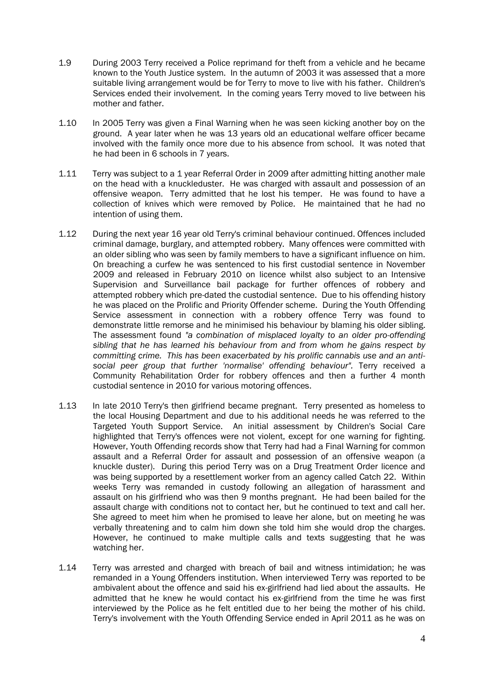- 1.9 During 2003 Terry received a Police reprimand for theft from a vehicle and he became known to the Youth Justice system. In the autumn of 2003 it was assessed that a more suitable living arrangement would be for Terry to move to live with his father. Children's Services ended their involvement. In the coming years Terry moved to live between his mother and father.
- 1.10 In 2005 Terry was given a Final Warning when he was seen kicking another boy on the ground. A year later when he was 13 years old an educational welfare officer became involved with the family once more due to his absence from school. It was noted that he had been in 6 schools in 7 years.
- 1.11 Terry was subject to a 1 year Referral Order in 2009 after admitting hitting another male on the head with a knuckleduster. He was charged with assault and possession of an offensive weapon. Terry admitted that he lost his temper. He was found to have a collection of knives which were removed by Police. He maintained that he had no intention of using them.
- 1.12 During the next year 16 year old Terry's criminal behaviour continued. Offences included criminal damage, burglary, and attempted robbery. Many offences were committed with an older sibling who was seen by family members to have a significant influence on him. On breaching a curfew he was sentenced to his first custodial sentence in November 2009 and released in February 2010 on licence whilst also subject to an Intensive Supervision and Surveillance bail package for further offences of robbery and attempted robbery which pre-dated the custodial sentence. Due to his offending history he was placed on the Prolific and Priority Offender scheme. During the Youth Offending Service assessment in connection with a robbery offence Terry was found to demonstrate little remorse and he minimised his behaviour by blaming his older sibling. The assessment found *"a combination of misplaced loyalty to an older pro-offending sibling that he has learned his behaviour from and from whom he gains respect by committing crime. This has been exacerbated by his prolific cannabis use and an antisocial peer group that further 'normalise' offending behaviour".* Terry received a Community Rehabilitation Order for robbery offences and then a further 4 month custodial sentence in 2010 for various motoring offences.
- 1.13 In late 2010 Terry's then girlfriend became pregnant. Terry presented as homeless to the local Housing Department and due to his additional needs he was referred to the Targeted Youth Support Service. An initial assessment by Children's Social Care highlighted that Terry's offences were not violent, except for one warning for fighting. However, Youth Offending records show that Terry had had a Final Warning for common assault and a Referral Order for assault and possession of an offensive weapon (a knuckle duster). During this period Terry was on a Drug Treatment Order licence and was being supported by a resettlement worker from an agency called Catch 22. Within weeks Terry was remanded in custody following an allegation of harassment and assault on his girlfriend who was then 9 months pregnant. He had been bailed for the assault charge with conditions not to contact her, but he continued to text and call her. She agreed to meet him when he promised to leave her alone, but on meeting he was verbally threatening and to calm him down she told him she would drop the charges. However, he continued to make multiple calls and texts suggesting that he was watching her.
- 1.14 Terry was arrested and charged with breach of bail and witness intimidation; he was remanded in a Young Offenders institution. When interviewed Terry was reported to be ambivalent about the offence and said his ex-girlfriend had lied about the assaults. He admitted that he knew he would contact his ex-girlfriend from the time he was first interviewed by the Police as he felt entitled due to her being the mother of his child. Terry's involvement with the Youth Offending Service ended in April 2011 as he was on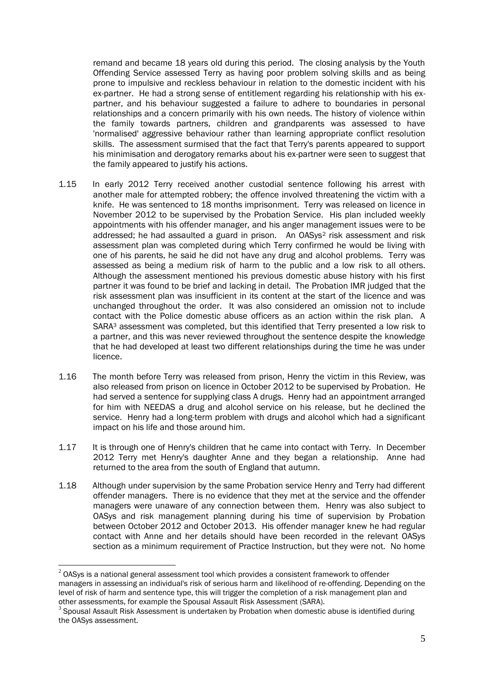remand and became 18 years old during this period. The closing analysis by the Youth Offending Service assessed Terry as having poor problem solving skills and as being prone to impulsive and reckless behaviour in relation to the domestic incident with his ex-partner. He had a strong sense of entitlement regarding his relationship with his expartner, and his behaviour suggested a failure to adhere to boundaries in personal relationships and a concern primarily with his own needs. The history of violence within the family towards partners, children and grandparents was assessed to have 'normalised' aggressive behaviour rather than learning appropriate conflict resolution skills. The assessment surmised that the fact that Terry's parents appeared to support his minimisation and derogatory remarks about his ex-partner were seen to suggest that the family appeared to justify his actions.

- 1.15 In early 2012 Terry received another custodial sentence following his arrest with another male for attempted robbery; the offence involved threatening the victim with a knife. He was sentenced to 18 months imprisonment. Terry was released on licence in November 2012 to be supervised by the Probation Service. His plan included weekly appointments with his offender manager, and his anger management issues were to be addressed; he had assaulted a guard in prison. An OASys<sup>2</sup> risk assessment and risk assessment plan was completed during which Terry confirmed he would be living with one of his parents, he said he did not have any drug and alcohol problems. Terry was assessed as being a medium risk of harm to the public and a low risk to all others. Although the assessment mentioned his previous domestic abuse history with his first partner it was found to be brief and lacking in detail. The Probation IMR judged that the risk assessment plan was insufficient in its content at the start of the licence and was unchanged throughout the order. It was also considered an omission not to include contact with the Police domestic abuse officers as an action within the risk plan. A SARA<sup>3</sup> assessment was completed, but this identified that Terry presented a low risk to a partner, and this was never reviewed throughout the sentence despite the knowledge that he had developed at least two different relationships during the time he was under licence.
- 1.16 The month before Terry was released from prison, Henry the victim in this Review, was also released from prison on licence in October 2012 to be supervised by Probation. He had served a sentence for supplying class A drugs. Henry had an appointment arranged for him with NEEDAS a drug and alcohol service on his release, but he declined the service. Henry had a long-term problem with drugs and alcohol which had a significant impact on his life and those around him.
- 1.17 It is through one of Henry's children that he came into contact with Terry. In December 2012 Terry met Henry's daughter Anne and they began a relationship. Anne had returned to the area from the south of England that autumn.
- 1.18 Although under supervision by the same Probation service Henry and Terry had different offender managers. There is no evidence that they met at the service and the offender managers were unaware of any connection between them. Henry was also subject to OASys and risk management planning during his time of supervision by Probation between October 2012 and October 2013. His offender manager knew he had regular contact with Anne and her details should have been recorded in the relevant OASys section as a minimum requirement of Practice Instruction, but they were not. No home

<sup>1</sup>  $2$  OASys is a national general assessment tool which provides a consistent framework to offender managers in assessing an individual's risk of serious harm and likelihood of re-offending. Depending on the level of risk of harm and sentence type, this will trigger the completion of a risk management plan and other assessments, for example the Spousal Assault Risk Assessment (SARA).

 $3$  Spousal Assault Risk Assessment is undertaken by Probation when domestic abuse is identified during the OASys assessment.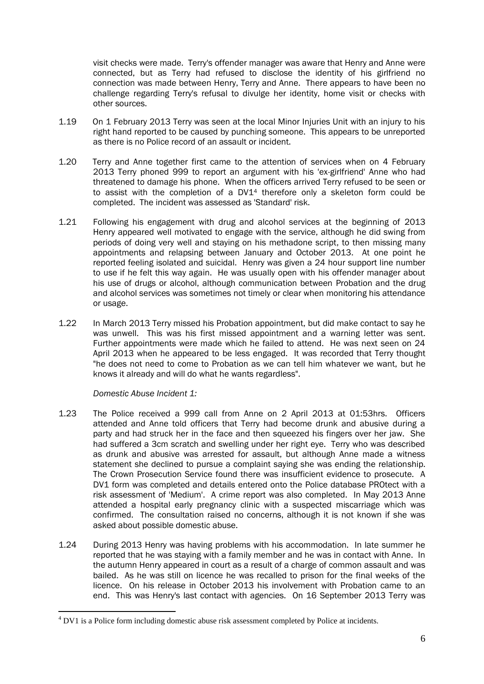visit checks were made. Terry's offender manager was aware that Henry and Anne were connected, but as Terry had refused to disclose the identity of his girlfriend no connection was made between Henry, Terry and Anne. There appears to have been no challenge regarding Terry's refusal to divulge her identity, home visit or checks with other sources.

- 1.19 On 1 February 2013 Terry was seen at the local Minor Injuries Unit with an injury to his right hand reported to be caused by punching someone. This appears to be unreported as there is no Police record of an assault or incident.
- 1.20 Terry and Anne together first came to the attention of services when on 4 February 2013 Terry phoned 999 to report an argument with his 'ex-girlfriend' Anne who had threatened to damage his phone. When the officers arrived Terry refused to be seen or to assist with the completion of a DV1<sup>4</sup> therefore only a skeleton form could be completed. The incident was assessed as 'Standard' risk.
- 1.21 Following his engagement with drug and alcohol services at the beginning of 2013 Henry appeared well motivated to engage with the service, although he did swing from periods of doing very well and staying on his methadone script, to then missing many appointments and relapsing between January and October 2013. At one point he reported feeling isolated and suicidal. Henry was given a 24 hour support line number to use if he felt this way again. He was usually open with his offender manager about his use of drugs or alcohol, although communication between Probation and the drug and alcohol services was sometimes not timely or clear when monitoring his attendance or usage.
- 1.22 In March 2013 Terry missed his Probation appointment, but did make contact to say he was unwell. This was his first missed appointment and a warning letter was sent. Further appointments were made which he failed to attend. He was next seen on 24 April 2013 when he appeared to be less engaged. It was recorded that Terry thought "he does not need to come to Probation as we can tell him whatever we want, but he knows it already and will do what he wants regardless".

*Domestic Abuse Incident 1:*

1

- 1.23 The Police received a 999 call from Anne on 2 April 2013 at 01:53hrs. Officers attended and Anne told officers that Terry had become drunk and abusive during a party and had struck her in the face and then squeezed his fingers over her jaw. She had suffered a 3cm scratch and swelling under her right eye. Terry who was described as drunk and abusive was arrested for assault, but although Anne made a witness statement she declined to pursue a complaint saying she was ending the relationship. The Crown Prosecution Service found there was insufficient evidence to prosecute. A DV1 form was completed and details entered onto the Police database PROtect with a risk assessment of 'Medium'. A crime report was also completed. In May 2013 Anne attended a hospital early pregnancy clinic with a suspected miscarriage which was confirmed. The consultation raised no concerns, although it is not known if she was asked about possible domestic abuse.
- 1.24 During 2013 Henry was having problems with his accommodation. In late summer he reported that he was staying with a family member and he was in contact with Anne. In the autumn Henry appeared in court as a result of a charge of common assault and was bailed. As he was still on licence he was recalled to prison for the final weeks of the licence. On his release in October 2013 his involvement with Probation came to an end. This was Henry's last contact with agencies. On 16 September 2013 Terry was

<sup>4</sup> DV1 is a Police form including domestic abuse risk assessment completed by Police at incidents.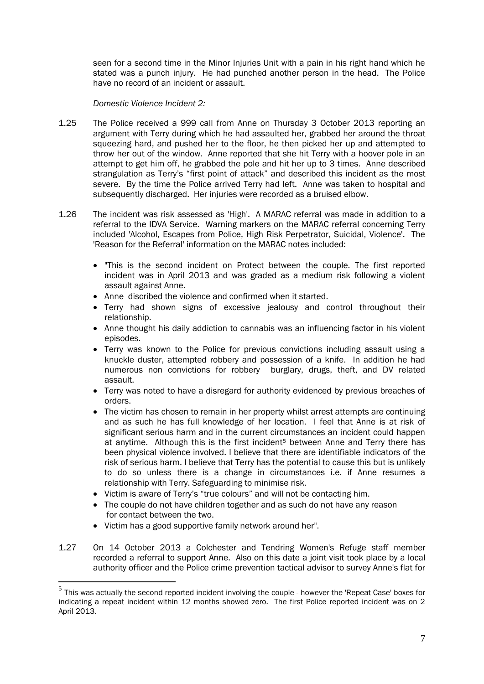seen for a second time in the Minor Injuries Unit with a pain in his right hand which he stated was a punch injury. He had punched another person in the head. The Police have no record of an incident or assault.

*Domestic Violence Incident 2:*

- 1.25 The Police received a 999 call from Anne on Thursday 3 October 2013 reporting an argument with Terry during which he had assaulted her, grabbed her around the throat squeezing hard, and pushed her to the floor, he then picked her up and attempted to throw her out of the window. Anne reported that she hit Terry with a hoover pole in an attempt to get him off, he grabbed the pole and hit her up to 3 times. Anne described strangulation as Terry's "first point of attack" and described this incident as the most severe. By the time the Police arrived Terry had left. Anne was taken to hospital and subsequently discharged. Her injuries were recorded as a bruised elbow.
- 1.26 The incident was risk assessed as 'High'. A MARAC referral was made in addition to a referral to the IDVA Service. Warning markers on the MARAC referral concerning Terry included 'Alcohol, Escapes from Police, High Risk Perpetrator, Suicidal, Violence'. The 'Reason for the Referral' information on the MARAC notes included:
	- "This is the second incident on Protect between the couple. The first reported incident was in April 2013 and was graded as a medium risk following a violent assault against Anne.
	- Anne discribed the violence and confirmed when it started.
	- Terry had shown signs of excessive jealousy and control throughout their relationship.
	- Anne thought his daily addiction to cannabis was an influencing factor in his violent episodes.
	- Terry was known to the Police for previous convictions including assault using a knuckle duster, attempted robbery and possession of a knife. In addition he had numerous non convictions for robbery burglary, drugs, theft, and DV related assault.
	- Terry was noted to have a disregard for authority evidenced by previous breaches of orders.
	- The victim has chosen to remain in her property whilst arrest attempts are continuing and as such he has full knowledge of her location. I feel that Anne is at risk of significant serious harm and in the current circumstances an incident could happen at anytime. Although this is the first incident<sup>5</sup> between Anne and Terry there has been physical violence involved. I believe that there are identifiable indicators of the risk of serious harm. I believe that Terry has the potential to cause this but is unlikely to do so unless there is a change in circumstances i.e. if Anne resumes a relationship with Terry. Safeguarding to minimise risk.
	- Victim is aware of Terry's "true colours" and will not be contacting him.
	- The couple do not have children together and as such do not have any reason for contact between the two.
	- Victim has a good supportive family network around her".

1

1.27 On 14 October 2013 a Colchester and Tendring Women's Refuge staff member recorded a referral to support Anne. Also on this date a joint visit took place by a local authority officer and the Police crime prevention tactical advisor to survey Anne's flat for

 $<sup>5</sup>$  This was actually the second reported incident involving the couple - however the 'Repeat Case' boxes for</sup> indicating a repeat incident within 12 months showed zero. The first Police reported incident was on 2 April 2013.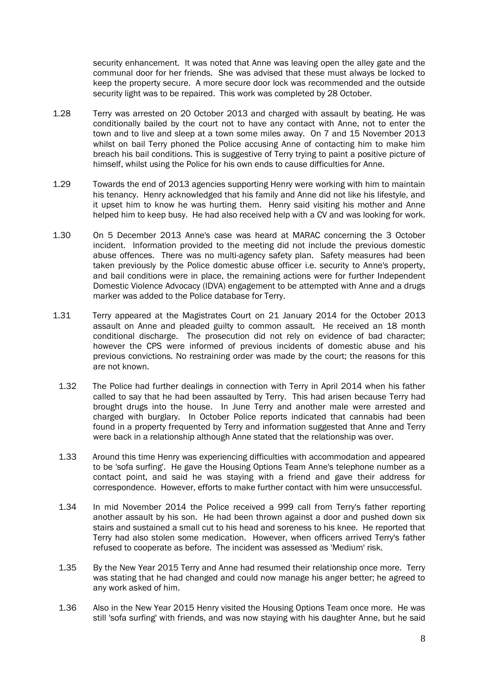security enhancement. It was noted that Anne was leaving open the alley gate and the communal door for her friends. She was advised that these must always be locked to keep the property secure. A more secure door lock was recommended and the outside security light was to be repaired. This work was completed by 28 October.

- 1.28 Terry was arrested on 20 October 2013 and charged with assault by beating. He was conditionally bailed by the court not to have any contact with Anne, not to enter the town and to live and sleep at a town some miles away. On 7 and 15 November 2013 whilst on bail Terry phoned the Police accusing Anne of contacting him to make him breach his bail conditions. This is suggestive of Terry trying to paint a positive picture of himself, whilst using the Police for his own ends to cause difficulties for Anne.
- 1.29 Towards the end of 2013 agencies supporting Henry were working with him to maintain his tenancy. Henry acknowledged that his family and Anne did not like his lifestyle, and it upset him to know he was hurting them. Henry said visiting his mother and Anne helped him to keep busy. He had also received help with a CV and was looking for work.
- 1.30 On 5 December 2013 Anne's case was heard at MARAC concerning the 3 October incident. Information provided to the meeting did not include the previous domestic abuse offences. There was no multi-agency safety plan. Safety measures had been taken previously by the Police domestic abuse officer i.e. security to Anne's property, and bail conditions were in place, the remaining actions were for further Independent Domestic Violence Advocacy (IDVA) engagement to be attempted with Anne and a drugs marker was added to the Police database for Terry.
- 1.31 Terry appeared at the Magistrates Court on 21 January 2014 for the October 2013 assault on Anne and pleaded guilty to common assault. He received an 18 month conditional discharge. The prosecution did not rely on evidence of bad character; however the CPS were informed of previous incidents of domestic abuse and his previous convictions. No restraining order was made by the court; the reasons for this are not known.
- 1.32 The Police had further dealings in connection with Terry in April 2014 when his father called to say that he had been assaulted by Terry. This had arisen because Terry had brought drugs into the house. In June Terry and another male were arrested and charged with burglary. In October Police reports indicated that cannabis had been found in a property frequented by Terry and information suggested that Anne and Terry were back in a relationship although Anne stated that the relationship was over.
- 1.33 Around this time Henry was experiencing difficulties with accommodation and appeared to be 'sofa surfing'. He gave the Housing Options Team Anne's telephone number as a contact point, and said he was staying with a friend and gave their address for correspondence. However, efforts to make further contact with him were unsuccessful.
- 1.34 In mid November 2014 the Police received a 999 call from Terry's father reporting another assault by his son. He had been thrown against a door and pushed down six stairs and sustained a small cut to his head and soreness to his knee. He reported that Terry had also stolen some medication. However, when officers arrived Terry's father refused to cooperate as before. The incident was assessed as 'Medium' risk.
- 1.35 By the New Year 2015 Terry and Anne had resumed their relationship once more. Terry was stating that he had changed and could now manage his anger better; he agreed to any work asked of him.
- 1.36 Also in the New Year 2015 Henry visited the Housing Options Team once more. He was still 'sofa surfing' with friends, and was now staying with his daughter Anne, but he said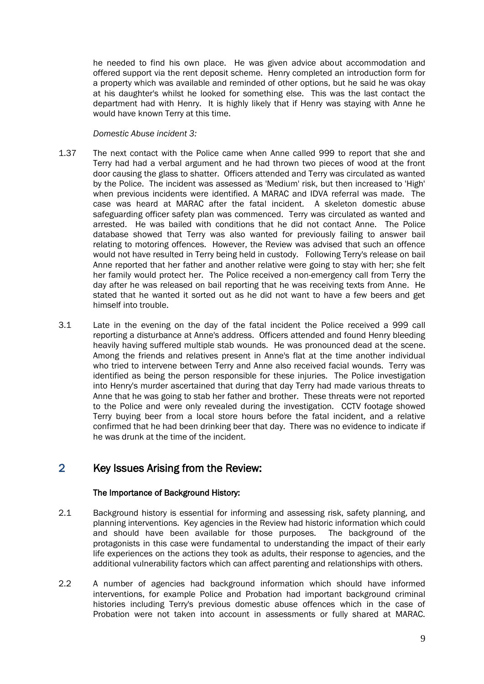he needed to find his own place. He was given advice about accommodation and offered support via the rent deposit scheme. Henry completed an introduction form for a property which was available and reminded of other options, but he said he was okay at his daughter's whilst he looked for something else. This was the last contact the department had with Henry. It is highly likely that if Henry was staying with Anne he would have known Terry at this time.

#### *Domestic Abuse incident 3:*

- 1.37 The next contact with the Police came when Anne called 999 to report that she and Terry had had a verbal argument and he had thrown two pieces of wood at the front door causing the glass to shatter. Officers attended and Terry was circulated as wanted by the Police. The incident was assessed as 'Medium' risk, but then increased to 'High' when previous incidents were identified. A MARAC and IDVA referral was made. The case was heard at MARAC after the fatal incident. A skeleton domestic abuse safeguarding officer safety plan was commenced. Terry was circulated as wanted and arrested. He was bailed with conditions that he did not contact Anne. The Police database showed that Terry was also wanted for previously failing to answer bail relating to motoring offences. However, the Review was advised that such an offence would not have resulted in Terry being held in custody. Following Terry's release on bail Anne reported that her father and another relative were going to stay with her; she felt her family would protect her. The Police received a non-emergency call from Terry the day after he was released on bail reporting that he was receiving texts from Anne. He stated that he wanted it sorted out as he did not want to have a few beers and get himself into trouble.
- 3.1 Late in the evening on the day of the fatal incident the Police received a 999 call reporting a disturbance at Anne's address. Officers attended and found Henry bleeding heavily having suffered multiple stab wounds. He was pronounced dead at the scene. Among the friends and relatives present in Anne's flat at the time another individual who tried to intervene between Terry and Anne also received facial wounds. Terry was identified as being the person responsible for these injuries. The Police investigation into Henry's murder ascertained that during that day Terry had made various threats to Anne that he was going to stab her father and brother. These threats were not reported to the Police and were only revealed during the investigation. CCTV footage showed Terry buying beer from a local store hours before the fatal incident, and a relative confirmed that he had been drinking beer that day. There was no evidence to indicate if he was drunk at the time of the incident.

## 2 Key Issues Arising from the Review:

#### The Importance of Background History:

- 2.1 Background history is essential for informing and assessing risk, safety planning, and planning interventions. Key agencies in the Review had historic information which could and should have been available for those purposes. The background of the protagonists in this case were fundamental to understanding the impact of their early life experiences on the actions they took as adults, their response to agencies, and the additional vulnerability factors which can affect parenting and relationships with others.
- 2.2 A number of agencies had background information which should have informed interventions, for example Police and Probation had important background criminal histories including Terry's previous domestic abuse offences which in the case of Probation were not taken into account in assessments or fully shared at MARAC.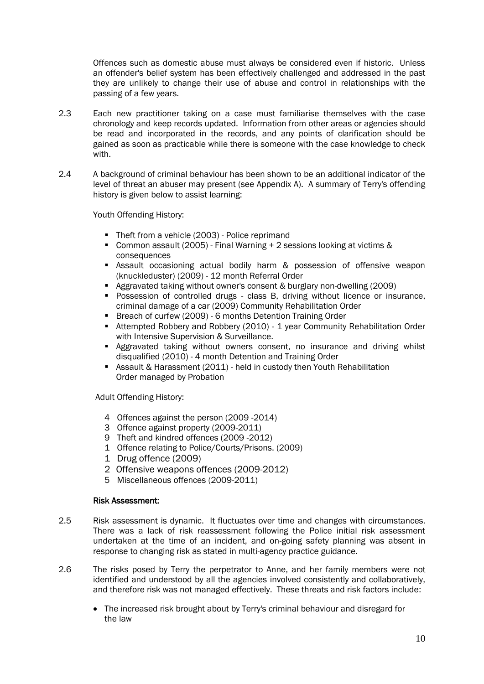Offences such as domestic abuse must always be considered even if historic. Unless an offender's belief system has been effectively challenged and addressed in the past they are unlikely to change their use of abuse and control in relationships with the passing of a few years.

- 2.3 Each new practitioner taking on a case must familiarise themselves with the case chronology and keep records updated. Information from other areas or agencies should be read and incorporated in the records, and any points of clarification should be gained as soon as practicable while there is someone with the case knowledge to check with.
- 2.4 A background of criminal behaviour has been shown to be an additional indicator of the level of threat an abuser may present (see Appendix A). A summary of Terry's offending history is given below to assist learning:

Youth Offending History:

- Theft from a vehicle (2003) Police reprimand
- Common assault (2005) Final Warning + 2 sessions looking at victims & consequences
- Assault occasioning actual bodily harm & possession of offensive weapon (knuckleduster) (2009) - 12 month Referral Order
- Aggravated taking without owner's consent & burglary non-dwelling (2009)
- **Possession of controlled drugs class B, driving without licence or insurance,** criminal damage of a car (2009) Community Rehabilitation Order
- **Breach of curfew (2009) 6 months Detention Training Order**
- **Attempted Robbery and Robbery (2010) 1 year Community Rehabilitation Order** with Intensive Supervision & Surveillance.
- Aggravated taking without owners consent, no insurance and driving whilst disqualified (2010) - 4 month Detention and Training Order
- Assault & Harassment (2011) held in custody then Youth Rehabilitation Order managed by Probation

Adult Offending History:

- 4 Offences against the person (2009 -2014)
- 3 Offence against property (2009-2011)
- 9 Theft and kindred offences (2009 -2012)
- 1 Offence relating to Police/Courts/Prisons. (2009)
- 1 Drug offence (2009)
- 2 Offensive weapons offences (2009-2012)
- 5 Miscellaneous offences (2009-2011)

#### Risk Assessment:

- 2.5 Risk assessment is dynamic. It fluctuates over time and changes with circumstances. There was a lack of risk reassessment following the Police initial risk assessment undertaken at the time of an incident, and on-going safety planning was absent in response to changing risk as stated in multi-agency practice guidance.
- 2.6 The risks posed by Terry the perpetrator to Anne, and her family members were not identified and understood by all the agencies involved consistently and collaboratively, and therefore risk was not managed effectively. These threats and risk factors include:
	- The increased risk brought about by Terry's criminal behaviour and disregard for the law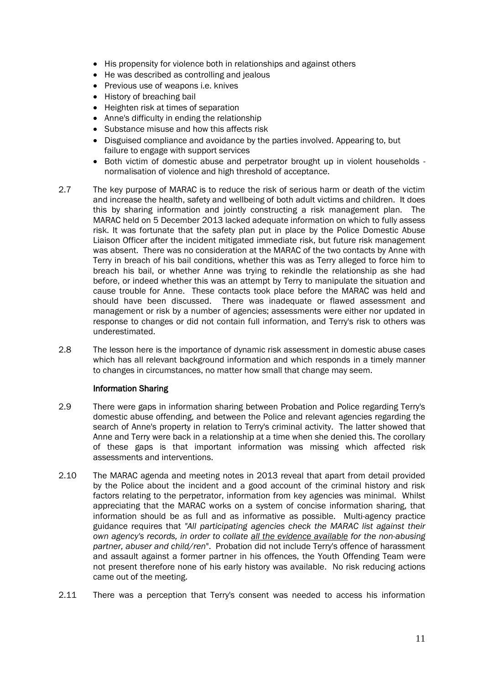- His propensity for violence both in relationships and against others
- He was described as controlling and jealous
- Previous use of weapons *i.e.* knives
- History of breaching bail
- Heighten risk at times of separation
- Anne's difficulty in ending the relationship
- Substance misuse and how this affects risk
- Disguised compliance and avoidance by the parties involved. Appearing to, but failure to engage with support services
- Both victim of domestic abuse and perpetrator brought up in violent households normalisation of violence and high threshold of acceptance.
- 2.7 The key purpose of MARAC is to reduce the risk of serious harm or death of the victim and increase the health, safety and wellbeing of both adult victims and children. It does this by sharing information and jointly constructing a risk management plan. The MARAC held on 5 December 2013 lacked adequate information on which to fully assess risk. It was fortunate that the safety plan put in place by the Police Domestic Abuse Liaison Officer after the incident mitigated immediate risk, but future risk management was absent. There was no consideration at the MARAC of the two contacts by Anne with Terry in breach of his bail conditions, whether this was as Terry alleged to force him to breach his bail, or whether Anne was trying to rekindle the relationship as she had before, or indeed whether this was an attempt by Terry to manipulate the situation and cause trouble for Anne. These contacts took place before the MARAC was held and should have been discussed. There was inadequate or flawed assessment and management or risk by a number of agencies; assessments were either nor updated in response to changes or did not contain full information, and Terry's risk to others was underestimated.
- 2.8 The lesson here is the importance of dynamic risk assessment in domestic abuse cases which has all relevant background information and which responds in a timely manner to changes in circumstances, no matter how small that change may seem.

#### Information Sharing

- 2.9 There were gaps in information sharing between Probation and Police regarding Terry's domestic abuse offending, and between the Police and relevant agencies regarding the search of Anne's property in relation to Terry's criminal activity. The latter showed that Anne and Terry were back in a relationship at a time when she denied this. The corollary of these gaps is that important information was missing which affected risk assessments and interventions.
- 2.10 The MARAC agenda and meeting notes in 2013 reveal that apart from detail provided by the Police about the incident and a good account of the criminal history and risk factors relating to the perpetrator, information from key agencies was minimal. Whilst appreciating that the MARAC works on a system of concise information sharing, that information should be as full and as informative as possible. Multi-agency practice guidance requires that *"All participating agencies check the MARAC list against their own agency's records, in order to collate all the evidence available for the non-abusing partner, abuser and child/ren*". Probation did not include Terry's offence of harassment and assault against a former partner in his offences, the Youth Offending Team were not present therefore none of his early history was available. No risk reducing actions came out of the meeting.
- 2.11 There was a perception that Terry's consent was needed to access his information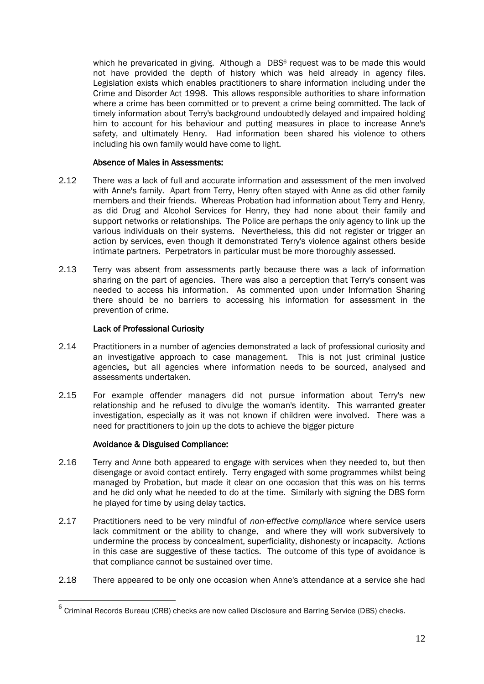which he prevaricated in giving. Although a DBS<sup>6</sup> request was to be made this would not have provided the depth of history which was held already in agency files. Legislation exists which enables practitioners to share information including under the Crime and Disorder Act 1998. This allows responsible authorities to share information where a crime has been committed or to prevent a crime being committed. The lack of timely information about Terry's background undoubtedly delayed and impaired holding him to account for his behaviour and putting measures in place to increase Anne's safety, and ultimately Henry. Had information been shared his violence to others including his own family would have come to light.

#### Absence of Males in Assessments:

- 2.12 There was a lack of full and accurate information and assessment of the men involved with Anne's family. Apart from Terry, Henry often stayed with Anne as did other family members and their friends. Whereas Probation had information about Terry and Henry, as did Drug and Alcohol Services for Henry, they had none about their family and support networks or relationships. The Police are perhaps the only agency to link up the various individuals on their systems. Nevertheless, this did not register or trigger an action by services, even though it demonstrated Terry's violence against others beside intimate partners. Perpetrators in particular must be more thoroughly assessed.
- 2.13 Terry was absent from assessments partly because there was a lack of information sharing on the part of agencies. There was also a perception that Terry's consent was needed to access his information. As commented upon under Information Sharing there should be no barriers to accessing his information for assessment in the prevention of crime.

#### Lack of Professional Curiosity

- 2.14 Practitioners in a number of agencies demonstrated a lack of professional curiosity and an investigative approach to case management. This is not just criminal justice agencies, but all agencies where information needs to be sourced, analysed and assessments undertaken.
- 2.15 For example offender managers did not pursue information about Terry's new relationship and he refused to divulge the woman's identity. This warranted greater investigation, especially as it was not known if children were involved. There was a need for practitioners to join up the dots to achieve the bigger picture

#### Avoidance & Disguised Compliance:

1

- 2.16 Terry and Anne both appeared to engage with services when they needed to, but then disengage or avoid contact entirely. Terry engaged with some programmes whilst being managed by Probation, but made it clear on one occasion that this was on his terms and he did only what he needed to do at the time. Similarly with signing the DBS form he played for time by using delay tactics.
- 2.17 Practitioners need to be very mindful of *non-effective compliance* where service users lack commitment or the ability to change, and where they will work subversively to undermine the process by concealment, superficiality, dishonesty or incapacity. Actions in this case are suggestive of these tactics. The outcome of this type of avoidance is that compliance cannot be sustained over time.
- 2.18 There appeared to be only one occasion when Anne's attendance at a service she had

 $^6$  Criminal Records Bureau (CRB) checks are now called Disclosure and Barring Service (DBS) checks.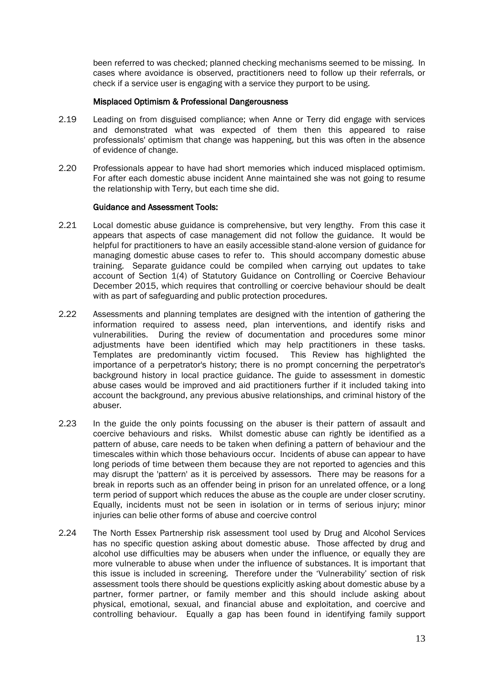been referred to was checked; planned checking mechanisms seemed to be missing. In cases where avoidance is observed, practitioners need to follow up their referrals, or check if a service user is engaging with a service they purport to be using.

#### Misplaced Optimism & Professional Dangerousness

- 2.19 Leading on from disguised compliance; when Anne or Terry did engage with services and demonstrated what was expected of them then this appeared to raise professionals' optimism that change was happening, but this was often in the absence of evidence of change.
- 2.20 Professionals appear to have had short memories which induced misplaced optimism. For after each domestic abuse incident Anne maintained she was not going to resume the relationship with Terry, but each time she did.

#### Guidance and Assessment Tools:

- 2.21 Local domestic abuse guidance is comprehensive, but very lengthy. From this case it appears that aspects of case management did not follow the guidance. It would be helpful for practitioners to have an easily accessible stand-alone version of guidance for managing domestic abuse cases to refer to. This should accompany domestic abuse training. Separate guidance could be compiled when carrying out updates to take account of Section 1(4) of Statutory Guidance on Controlling or Coercive Behaviour December 2015, which requires that controlling or coercive behaviour should be dealt with as part of safeguarding and public protection procedures.
- 2.22 Assessments and planning templates are designed with the intention of gathering the information required to assess need, plan interventions, and identify risks and vulnerabilities. During the review of documentation and procedures some minor adjustments have been identified which may help practitioners in these tasks. Templates are predominantly victim focused. This Review has highlighted the importance of a perpetrator's history; there is no prompt concerning the perpetrator's background history in local practice guidance. The guide to assessment in domestic abuse cases would be improved and aid practitioners further if it included taking into account the background, any previous abusive relationships, and criminal history of the abuser.
- 2.23 In the guide the only points focussing on the abuser is their pattern of assault and coercive behaviours and risks. Whilst domestic abuse can rightly be identified as a pattern of abuse, care needs to be taken when defining a pattern of behaviour and the timescales within which those behaviours occur. Incidents of abuse can appear to have long periods of time between them because they are not reported to agencies and this may disrupt the 'pattern' as it is perceived by assessors. There may be reasons for a break in reports such as an offender being in prison for an unrelated offence, or a long term period of support which reduces the abuse as the couple are under closer scrutiny. Equally, incidents must not be seen in isolation or in terms of serious injury; minor injuries can belie other forms of abuse and coercive control
- 2.24 The North Essex Partnership risk assessment tool used by Drug and Alcohol Services has no specific question asking about domestic abuse. Those affected by drug and alcohol use difficulties may be abusers when under the influence, or equally they are more vulnerable to abuse when under the influence of substances. It is important that this issue is included in screening. Therefore under the 'Vulnerability' section of risk assessment tools there should be questions explicitly asking about domestic abuse by a partner, former partner, or family member and this should include asking about physical, emotional, sexual, and financial abuse and exploitation, and coercive and controlling behaviour. Equally a gap has been found in identifying family support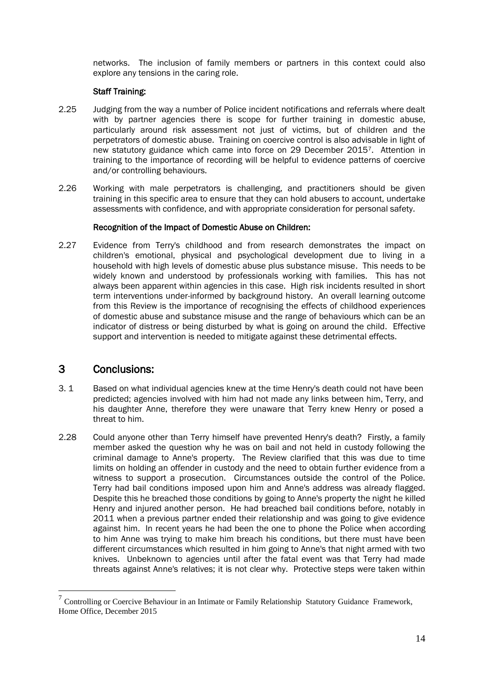networks. The inclusion of family members or partners in this context could also explore any tensions in the caring role.

#### Staff Training:

- 2.25 Judging from the way a number of Police incident notifications and referrals where dealt with by partner agencies there is scope for further training in domestic abuse, particularly around risk assessment not just of victims, but of children and the perpetrators of domestic abuse. Training on coercive control is also advisable in light of new statutory guidance which came into force on 29 December 20157. Attention in training to the importance of recording will be helpful to evidence patterns of coercive and/or controlling behaviours.
- 2.26 Working with male perpetrators is challenging, and practitioners should be given training in this specific area to ensure that they can hold abusers to account, undertake assessments with confidence, and with appropriate consideration for personal safety.

#### Recognition of the Impact of Domestic Abuse on Children:

2.27 Evidence from Terry's childhood and from research demonstrates the impact on children's emotional, physical and psychological development due to living in a household with high levels of domestic abuse plus substance misuse. This needs to be widely known and understood by professionals working with families. This has not always been apparent within agencies in this case. High risk incidents resulted in short term interventions under-informed by background history. An overall learning outcome from this Review is the importance of recognising the effects of childhood experiences of domestic abuse and substance misuse and the range of behaviours which can be an indicator of distress or being disturbed by what is going on around the child. Effective support and intervention is needed to mitigate against these detrimental effects.

## 3 Conclusions:

<u>.</u>

- 3. 1 Based on what individual agencies knew at the time Henry's death could not have been predicted; agencies involved with him had not made any links between him, Terry, and his daughter Anne, therefore they were unaware that Terry knew Henry or posed a threat to him.
- 2.28 Could anyone other than Terry himself have prevented Henry's death? Firstly, a family member asked the question why he was on bail and not held in custody following the criminal damage to Anne's property. The Review clarified that this was due to time limits on holding an offender in custody and the need to obtain further evidence from a witness to support a prosecution. Circumstances outside the control of the Police. Terry had bail conditions imposed upon him and Anne's address was already flagged. Despite this he breached those conditions by going to Anne's property the night he killed Henry and injured another person. He had breached bail conditions before, notably in 2011 when a previous partner ended their relationship and was going to give evidence against him. In recent years he had been the one to phone the Police when according to him Anne was trying to make him breach his conditions, but there must have been different circumstances which resulted in him going to Anne's that night armed with two knives. Unbeknown to agencies until after the fatal event was that Terry had made threats against Anne's relatives; it is not clear why. Protective steps were taken within

<sup>7</sup> Controlling or Coercive Behaviour in an Intimate or Family Relationship Statutory Guidance Framework, Home Office, December 2015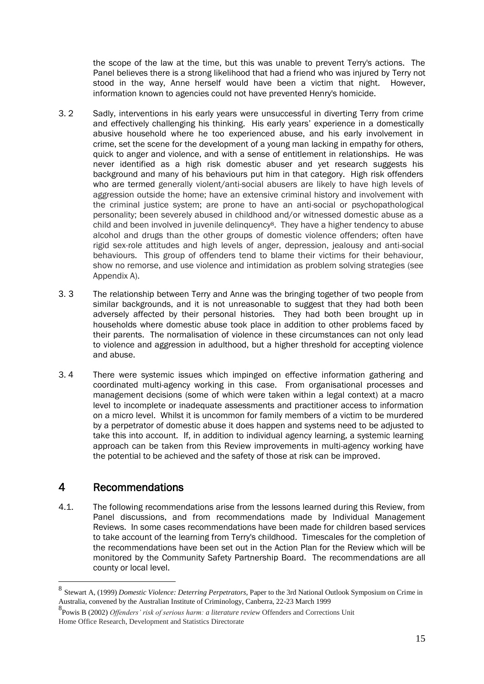the scope of the law at the time, but this was unable to prevent Terry's actions. The Panel believes there is a strong likelihood that had a friend who was injured by Terry not stood in the way, Anne herself would have been a victim that night. However, information known to agencies could not have prevented Henry's homicide.

- 3. 2 Sadly, interventions in his early years were unsuccessful in diverting Terry from crime and effectively challenging his thinking. His early years' experience in a domestically abusive household where he too experienced abuse, and his early involvement in crime, set the scene for the development of a young man lacking in empathy for others, quick to anger and violence, and with a sense of entitlement in relationships. He was never identified as a high risk domestic abuser and yet research suggests his background and many of his behaviours put him in that category. High risk offenders who are termed generally violent/anti-social abusers are likely to have high levels of aggression outside the home; have an extensive criminal history and involvement with the criminal justice system; are prone to have an anti-social or psychopathological personality; been severely abused in childhood and/or witnessed domestic abuse as a child and been involved in juvenile delinquency<sup>8</sup>. They have a higher tendency to abuse alcohol and drugs than the other groups of domestic violence offenders; often have rigid sex-role attitudes and high levels of anger, depression, jealousy and anti-social behaviours. This group of offenders tend to blame their victims for their behaviour, show no remorse, and use violence and intimidation as problem solving strategies (see Appendix A).
- 3. 3 The relationship between Terry and Anne was the bringing together of two people from similar backgrounds, and it is not unreasonable to suggest that they had both been adversely affected by their personal histories. They had both been brought up in households where domestic abuse took place in addition to other problems faced by their parents. The normalisation of violence in these circumstances can not only lead to violence and aggression in adulthood, but a higher threshold for accepting violence and abuse.
- 3. 4 There were systemic issues which impinged on effective information gathering and coordinated multi-agency working in this case. From organisational processes and management decisions (some of which were taken within a legal context) at a macro level to incomplete or inadequate assessments and practitioner access to information on a micro level. Whilst it is uncommon for family members of a victim to be murdered by a perpetrator of domestic abuse it does happen and systems need to be adjusted to take this into account. If, in addition to individual agency learning, a systemic learning approach can be taken from this Review improvements in multi-agency working have the potential to be achieved and the safety of those at risk can be improved.

## 4 Recommendations

1

4.1. The following recommendations arise from the lessons learned during this Review, from Panel discussions, and from recommendations made by Individual Management Reviews. In some cases recommendations have been made for children based services to take account of the learning from Terry's childhood. Timescales for the completion of the recommendations have been set out in the Action Plan for the Review which will be monitored by the Community Safety Partnership Board. The recommendations are all county or local level.

<sup>8</sup> Stewart A, (1999) *Domestic Violence: Deterring Perpetrators*, Paper to the 3rd National Outlook Symposium on Crime in Australia, convened by the Australian Institute of Criminology, Canberra, 22-23 March 1999

<sup>8</sup> Powis B (2002) *Offenders' risk of serious harm: a literature review* Offenders and Corrections Unit Home Office Research, Development and Statistics Directorate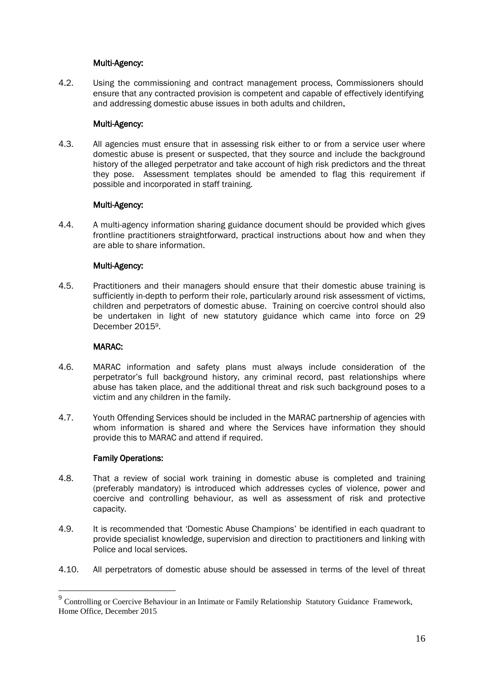#### Multi-Agency:

4.2. Using the commissioning and contract management process, Commissioners should ensure that any contracted provision is competent and capable of effectively identifying and addressing domestic abuse issues in both adults and children.

#### Multi-Agency:

4.3. All agencies must ensure that in assessing risk either to or from a service user where domestic abuse is present or suspected, that they source and include the background history of the alleged perpetrator and take account of high risk predictors and the threat they pose. Assessment templates should be amended to flag this requirement if possible and incorporated in staff training.

#### Multi-Agency:

4.4. A multi-agency information sharing guidance document should be provided which gives frontline practitioners straightforward, practical instructions about how and when they are able to share information.

#### Multi-Agency:

4.5. Practitioners and their managers should ensure that their domestic abuse training is sufficiently in-depth to perform their role, particularly around risk assessment of victims, children and perpetrators of domestic abuse. Training on coercive control should also be undertaken in light of new statutory guidance which came into force on 29 December 20159.

#### MARAC:

- 4.6. MARAC information and safety plans must always include consideration of the perpetrator's full background history, any criminal record, past relationships where abuse has taken place, and the additional threat and risk such background poses to a victim and any children in the family.
- 4.7. Youth Offending Services should be included in the MARAC partnership of agencies with whom information is shared and where the Services have information they should provide this to MARAC and attend if required.

#### Family Operations:

<u>.</u>

- 4.8. That a review of social work training in domestic abuse is completed and training (preferably mandatory) is introduced which addresses cycles of violence, power and coercive and controlling behaviour, as well as assessment of risk and protective capacity.
- 4.9. It is recommended that 'Domestic Abuse Champions' be identified in each quadrant to provide specialist knowledge, supervision and direction to practitioners and linking with Police and local services.
- 4.10. All perpetrators of domestic abuse should be assessed in terms of the level of threat

<sup>&</sup>lt;sup>9</sup> Controlling or Coercive Behaviour in an Intimate or Family Relationship Statutory Guidance Framework, Home Office, December 2015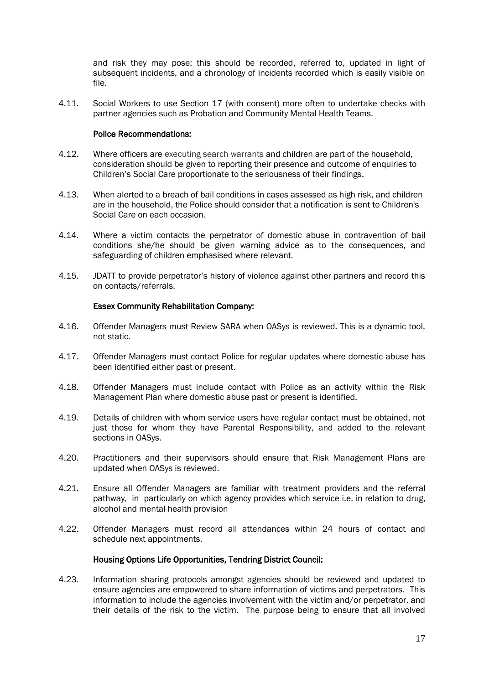and risk they may pose; this should be recorded, referred to, updated in light of subsequent incidents, and a chronology of incidents recorded which is easily visible on file.

4.11. Social Workers to use Section 17 (with consent) more often to undertake checks with partner agencies such as Probation and Community Mental Health Teams.

#### Police Recommendations:

- 4.12. Where officers are executing search warrants and children are part of the household, consideration should be given to reporting their presence and outcome of enquiries to Children's Social Care proportionate to the seriousness of their findings.
- 4.13. When alerted to a breach of bail conditions in cases assessed as high risk, and children are in the household, the Police should consider that a notification is sent to Children's Social Care on each occasion.
- 4.14. Where a victim contacts the perpetrator of domestic abuse in contravention of bail conditions she/he should be given warning advice as to the consequences, and safeguarding of children emphasised where relevant.
- 4.15. JDATT to provide perpetrator's history of violence against other partners and record this on contacts/referrals.

#### Essex Community Rehabilitation Company:

- 4.16. Offender Managers must Review SARA when OASys is reviewed. This is a dynamic tool, not static.
- 4.17. Offender Managers must contact Police for regular updates where domestic abuse has been identified either past or present.
- 4.18. Offender Managers must include contact with Police as an activity within the Risk Management Plan where domestic abuse past or present is identified.
- 4.19. Details of children with whom service users have regular contact must be obtained, not just those for whom they have Parental Responsibility, and added to the relevant sections in OASys.
- 4.20. Practitioners and their supervisors should ensure that Risk Management Plans are updated when OASys is reviewed.
- 4.21. Ensure all Offender Managers are familiar with treatment providers and the referral pathway, in particularly on which agency provides which service i.e. in relation to drug, alcohol and mental health provision
- 4.22. Offender Managers must record all attendances within 24 hours of contact and schedule next appointments.

#### Housing Options Life Opportunities, Tendring District Council:

4.23. Information sharing protocols amongst agencies should be reviewed and updated to ensure agencies are empowered to share information of victims and perpetrators. This information to include the agencies involvement with the victim and/or perpetrator, and their details of the risk to the victim. The purpose being to ensure that all involved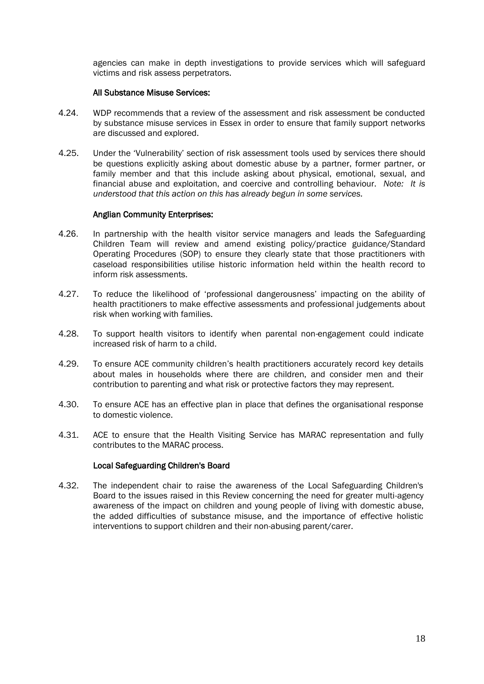agencies can make in depth investigations to provide services which will safeguard victims and risk assess perpetrators.

#### All Substance Misuse Services:

- 4.24. WDP recommends that a review of the assessment and risk assessment be conducted by substance misuse services in Essex in order to ensure that family support networks are discussed and explored.
- 4.25. Under the 'Vulnerability' section of risk assessment tools used by services there should be questions explicitly asking about domestic abuse by a partner, former partner, or family member and that this include asking about physical, emotional, sexual, and financial abuse and exploitation, and coercive and controlling behaviour. *Note: It is understood that this action on this has already begun in some services.*

#### Anglian Community Enterprises:

- 4.26. In partnership with the health visitor service managers and leads the Safeguarding Children Team will review and amend existing policy/practice guidance/Standard Operating Procedures (SOP) to ensure they clearly state that those practitioners with caseload responsibilities utilise historic information held within the health record to inform risk assessments.
- 4.27. To reduce the likelihood of 'professional dangerousness' impacting on the ability of health practitioners to make effective assessments and professional judgements about risk when working with families.
- 4.28. To support health visitors to identify when parental non-engagement could indicate increased risk of harm to a child.
- 4.29. To ensure ACE community children's health practitioners accurately record key details about males in households where there are children, and consider men and their contribution to parenting and what risk or protective factors they may represent.
- 4.30. To ensure ACE has an effective plan in place that defines the organisational response to domestic violence.
- 4.31. ACE to ensure that the Health Visiting Service has MARAC representation and fully contributes to the MARAC process.

#### Local Safeguarding Children's Board

4.32. The independent chair to raise the awareness of the Local Safeguarding Children's Board to the issues raised in this Review concerning the need for greater multi-agency awareness of the impact on children and young people of living with domestic abuse, the added difficulties of substance misuse, and the importance of effective holistic interventions to support children and their non-abusing parent/carer.